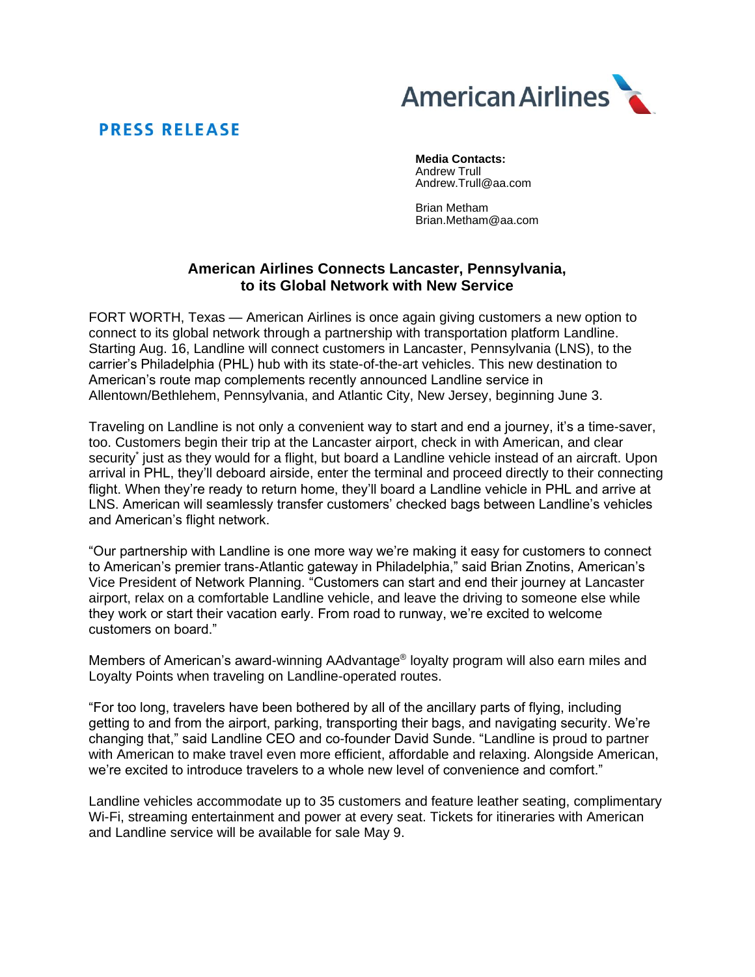

# **PRESS RELEASE**

**Media Contacts:** Andrew Trull Andrew.Trull@aa.com

Brian Metham Brian.Metham@aa.com

# **American Airlines Connects Lancaster, Pennsylvania, to its Global Network with New Service**

FORT WORTH, Texas — American Airlines is once again giving customers a new option to connect to its global network through a partnership with transportation platform Landline. Starting Aug. 16, Landline will connect customers in Lancaster, Pennsylvania (LNS), to the carrier's Philadelphia (PHL) hub with its state-of-the-art vehicles. This new destination to American's route map complements recently announced Landline service in Allentown/Bethlehem, Pennsylvania, and Atlantic City, New Jersey, beginning June 3.

Traveling on Landline is not only a convenient way to start and end a journey, it's a time-saver, too. Customers begin their trip at the Lancaster airport, check in with American, and clear security<sup>\*</sup> just as they would for a flight, but board a Landline vehicle instead of an aircraft. Upon arrival in PHL, they'll deboard airside, enter the terminal and proceed directly to their connecting flight. When they're ready to return home, they'll board a Landline vehicle in PHL and arrive at LNS. American will seamlessly transfer customers' checked bags between Landline's vehicles and American's flight network.

"Our partnership with Landline is one more way we're making it easy for customers to connect to American's premier trans-Atlantic gateway in Philadelphia," said Brian Znotins, American's Vice President of Network Planning. "Customers can start and end their journey at Lancaster airport, relax on a comfortable Landline vehicle, and leave the driving to someone else while they work or start their vacation early. From road to runway, we're excited to welcome customers on board."

Members of American's award-winning AAdvantage® loyalty program will also earn miles and Loyalty Points when traveling on Landline-operated routes.

"For too long, travelers have been bothered by all of the ancillary parts of flying, including getting to and from the airport, parking, transporting their bags, and navigating security. We're changing that," said Landline CEO and co-founder David Sunde. "Landline is proud to partner with American to make travel even more efficient, affordable and relaxing. Alongside American, we're excited to introduce travelers to a whole new level of convenience and comfort."

Landline vehicles accommodate up to 35 customers and feature leather seating, complimentary Wi-Fi, streaming entertainment and power at every seat. Tickets for itineraries with American and Landline service will be available for sale May 9.